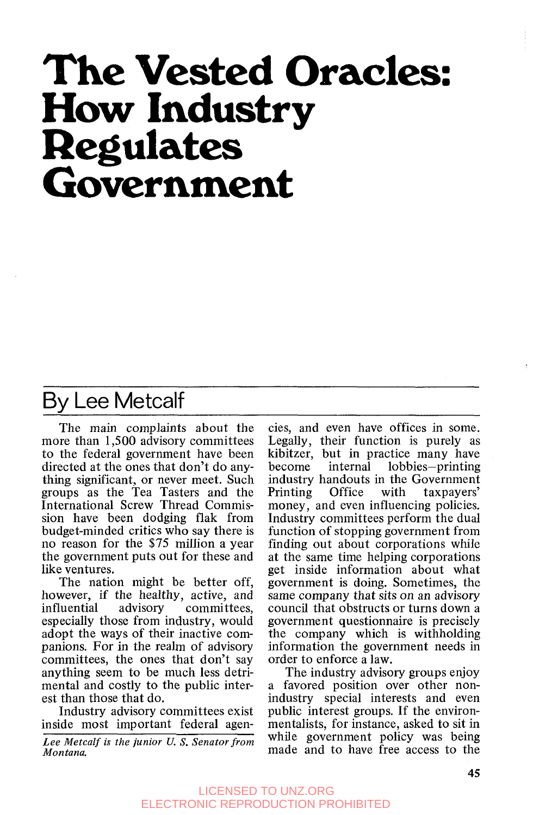# **The Vested Oracles: How Industry Regulates Government**

## Bv Lee Metcalf

The main complaints about the more than 1,500 advisory committees to the federal government have been directed at the ones that don't do anything significant, or never meet. Such groups as the Tea Tasters and the International Screw Thread Commission have been dodging flak from budget-minded critics who say there is no reason for the \$75 million a year the government puts out for these and like ventures.

The nation might be better off, however, if the healthy, active, and<br>influential advisory committees, committees, especially those from industry, would adopt the ways of their inactive companions. For in the realm of advisory committees, the ones that don't say anything seem to be much less detrimental and costly to the public interest than those that do.

Industry advisory committees exist inside most important federal agen-

*Lee Metcalf is the junior U.* S. *Senator from Montana.* 

cies, and even have offices in some. Legally, their function is purely as kibitzer, but in practice many have<br>become internal lobbies-printing internal lobbies-printing industry handouts in the Government Printing Office with taxpayers' money, and even influencing policies. Industry committees perform the dual function of stopping government from finding out about corporations while at the same time helping corporations get inside information about what government is doing. Sometimes, the same company that sits on an advisory council that obstructs or turns down a government questionnaire is precisely the company which is withholding information the government needs in order to enforce a law.

The industry advisory groups enjoy a favored position over other nonindustry special interests and even public interest groups. If the environmentalists, for instance, asked to sit in while government policy was being made and to have free access to the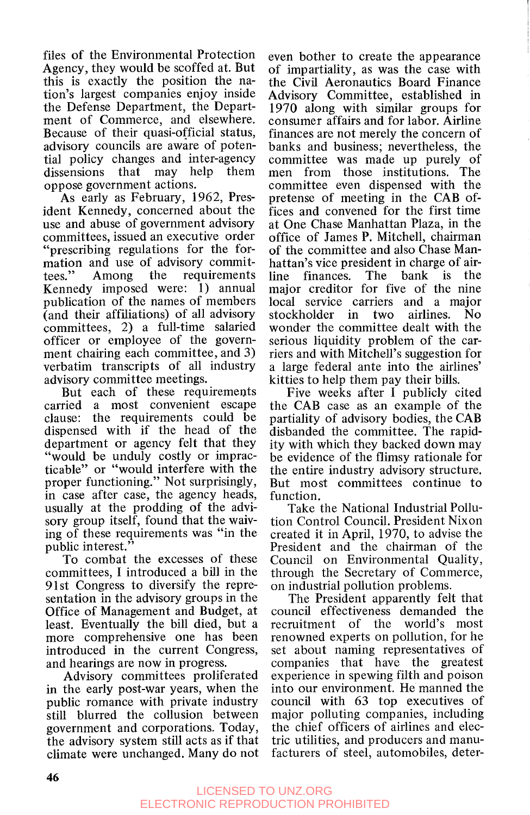files of the Environmental Protection Agency, they would be scoffed at. But this is exactly the position the nation's largest companies enjoy inside the Defense Department, the Department of Commerce, and elsewhere. Because of their quasi-official status, advisory councils are aware of potential policy changes and inter-agency dissensions that may help them oppose government actions.

As early as February, 1962, President Kennedy, concerned about the use and abuse of government advisory committees, issued an executive order "prescribing regulations for the formation and use of advisory commit-<br>tees." Among the requirements tees." Among the requirements Kennedy imposed were: I) annual publication of the names of members (and their affiliations) of all advisory committees, 2) a full-time salaried officer or employee of the government chairing each committee, and **3)**  verbatim transcripts of all industry advisory committee meetings.

But each of these requirements carried a most convenient escape clause: the requirements could be dispensed with if the head of the department or agency felt that they "would be unduly costly or impracticable" or "would interfere with the proper functioning." Not surprisingly, in case after case, the agency heads, usually at the prodding of the advisory group itself, found that the waiving of these requirements was "in the public interest."

To combat the excesses of these committees, I introduced a bill in the 91st Congress to diversify the representation in the advisory groups in the Office of Management and Budget, at least. Eventually the bill died, but a more comprehensive one has been introduced in the current Congress, and hearings are now in progress.

Advisory committees proliferated in the early post-war years, when the public romance with private industry still blurred the collusion between government and corporations. Today, the advisory system still acts as if that climate were unchanged. Many do not

even bother to create the appearance of impartiality, as was the case with the Civil Aeronautics Board Finance Advisory Committee, established in 1970 along with similar groups for consumer affairs and for labor. Airline finances are not merely the concern of banks and business; nevertheless, the committee was made up purely of men from those institutions. The committee even dispensed with the pretense of meeting in the CAB offices and convened for the first time at One Chase Manhattan Plaza, in the office of James P. Mitchell, chairman of the committee and also Chase Manhattan's vice president in charge of air-<br>line finances. The bank is the line finances. The bank is the major creditor for five of the nine local service carriers and a major stockholder in two airlines. No wonder the committee dealt with the serious liquidity problem of the carriers and with Mitchell's suggestion for a large federal ante into the airlines' kitties to help them pay their bills.

Five weeks after **I** publicly cited the CAB case as an example of the partiality of advisory bodies, the CAB disbanded the committee. The rapidity with which they backed down may be evidence of the flimsy rationale for the entire industry advisory structure. But most committees continue to function.

Take the National Industrial Pollution Control Council. President Nixon created it in April, 1970, to advise the President and the chairman of the Council on Environmental Quality, through the Secretary of Commerce, on industrial pollution problems.

The President apparently felt that council effectiveness demanded the recruitment of the world's most renowned experts on pollution, for he set about naming representatives of companies that have the greatest experience in spewing filth and poison into our environment. He manned the council with 63 top executives of major polluting companies, including the chief officers of airlines and electric utilities, and producers and manufacturers of steel, automobiles, deter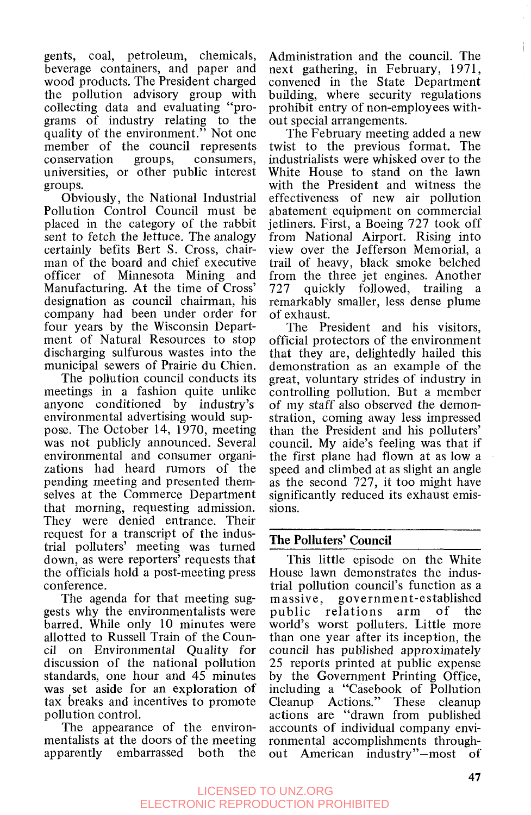gents, coal, petroleum, chemicals, beverage containers, and paper and wood products. The President charged the pollution advisory group with collecting data and evaluating "programs of industry relating to the quality of the environment.<sup> $\dot{v}$ </sup> Not one member of the council represents conservation groups, consumers, universities, or other public interest groups.

Obviously, the National Industrial Pollution Control Council must be placed in the category of the rabbit sent to fetch the lettuce. The analogy certainly befits Bert **S.** Cross, chairman of the board and chief executive officer of Minnesota Mining and Manufacturing. At the time of Cross' designation as council chairman, his company had been under order for four years by the Wisconsin Department of Natural Resources to stop discharging sulfurous wastes into the municipal sewers of Prairie du Chien.

The pollution council conducts its meetings in a fashion quite unlike anyone conditioned by industry's environmental advertising would suppose. The October 14, 1970, meeting was not publicly announced. Several environmental and consumer organizations had heard rumors of the pending meeting and presented themselves at the Commerce Department that morning, requesting admission. They were denied entrance. Their request for a transcript of the industrial polluters' meeting was turned down, as were reporters' requests that the officials hold a post-meeting press conference.

The agenda for that meeting suggests why the environmentalists were barred. While only 10 minutes were allotted to Russell Train of the Council on Environmental Quality for discussion of the national pollution standards, one hour and 45 minutes was set aside for an exploration of tax breaks and incentives to promote pollution control.

The appearance of the environmentalists at the doors of the meeting apparently embarrassed both the

Administration and the council. The next gathering, in February, 1971, convened in the State Department building, where security regulations prohibit entry of non-employees without special arrangements.

The February meeting added a new twist to the previous format. The industrialists were whisked over to the White House to stand on the lawn with the President and witness the effectiveness of new air pollution abatement equipment on commercial jetliners. First, a Boeing 727 took off from National Airport. Rising into view over the Jefferson Memorial, a trail of heavy, black smoke belched from the three jet engines. Another 727 quickly followed, trailing a remarkably smaller, less dense plume of exhaust.

The President and his visitors, official protectors of the environment that they are, delightedly hailed this demonstration as an example of the great, voluntary strides of industry in controlling pollution. But a member of my staff also observed the demonstration, coming away less impressed than the President and his polluters' council. My aide's feeling was that if the first plane had flown at as low a speed and climbed at as slight an angle as the second 727, it too might have significantly reduced its exhaust emissions.

#### **The Polluters' Council**

This little episode on the White House lawn demonstrates the industrial pollution council's function as a massive, government-established public relations arm of the world's worst polluters. Little more than one year after its inception, the council has published approximately 25 reports printed at public expense by the Government Printing Office, including a "Casebook of Pollution Cleanup Actions." These cleanup actions are "drawn from published accounts of individual company environmental accomplishments throughout American industry"-most of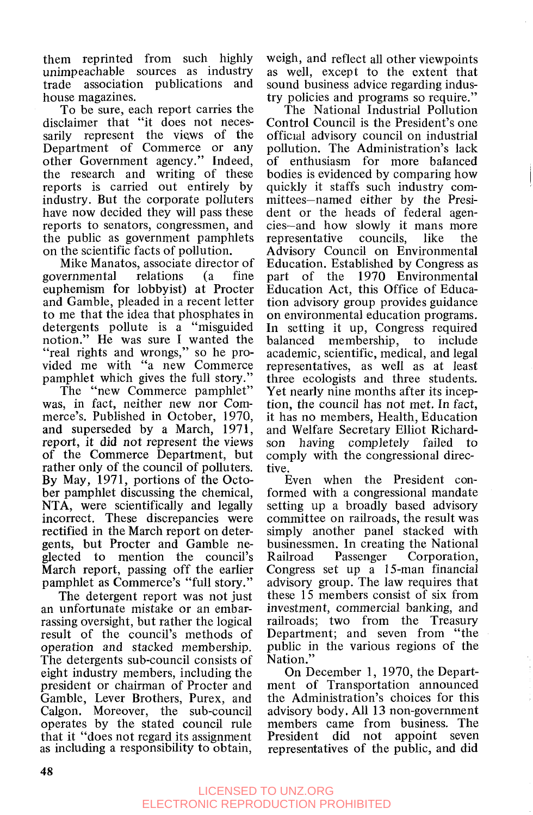them reprinted from such highly unimpeachable sources as industry trade association publications and house magazines.

To be sure, each report carries the disclaimer that "it does not necessarily represent the views of the Department of Commerce or any other Government agency." Indeed, the research and writing of these reports is carried out entirely by industry. But the corporate polluters have now decided they will pass these reports to senators, congressmen, and the public as government pamphlets on the scientific facts of pollution.

Mike Manatos, associate director of<br>
vernmental relations (a fine governmental euphemism for lobbyist) at Procter and Gamble, pleaded in a recent letter to me that the idea that phosphates in detergents pollute is a "misguided notion." He was sure **I** wanted the "real rights and wrongs," so he provided me with "a new Commerce pamphlet which gives the full story."

The "new Commerce pamphlet" was, in fact, neither new nor Commerce's. Published in October, 1970, and superseded by a March, 1971, report, it did not represent the views of the Commerce Department, but rather only of the council of polluters. By May, 1971, portions of the October pamphlet discussing the chemical, NTA, were scientifically and legally incorrect. These discrepancies were rectified in the March report on detergents, but Procter and Gamble neglected to mention the council's March report, passing off the earlier pamphlet as Commerce's "full story."

The detergent report was not just an unfortunate mistake or an embarrassing oversight, but rather the logical result of the council's methods of operation and stacked membership. The detergents sub-council consists of eight industry members, including the president or chairman of Procter and Gamble, Lever Brothers, Purex, and Calgon. Moreover, the sub-council operates by the stated council rule that it "does not regard its assignment as including a responsibility to obtain,

weigh, and reflect all other viewpoints as well, except to the extent that sound business advice regarding industry policies and programs so require."

The National Industrial Pollution Control Council is the President's one official advisory council on industrial pollution. The Administration's lack of enthusiasm for more balanced bodies is evidenced by comparing how quickly it staffs such industry committees-named either by the President or the heads of federal agencies-and how slowly it mans more representative councils, like the Advisory Council on Environmental Education. Established by Congress as part of the 1970 Environmental Education Act, this Office of Education advisory group provides guidance on environmental education programs. In setting it up, Congress required balanced membership, to include academic, scientific, medical, and legal representatives, as well as at least three ecologists and three students. Yet nearly nine months after its inception, the council has not met. In fact, it has no members, Health, Education and Welfare Secretary Elliot Richardson having completely failed to comply with the congressional directive.

I.

Even when the President conformed with a congressional mandate setting up a broadly based advisory committee on railroads, the result was simply another panel stacked with businessmen. In creating the National Railroad Passenger Corporation, Congress set up a 15-man financial advisory group. The law requires that these 15 members consist of six from investment, commercial banking, and railroads; two from the Treasury Department; and seven from "the public in the various regions of the Nation."

On December 1, 1970, the Department of Transportation announced the Administration's choices for this advisory body, All 13 non-government members came from business. The President did not appoint seven representatives of the public, and did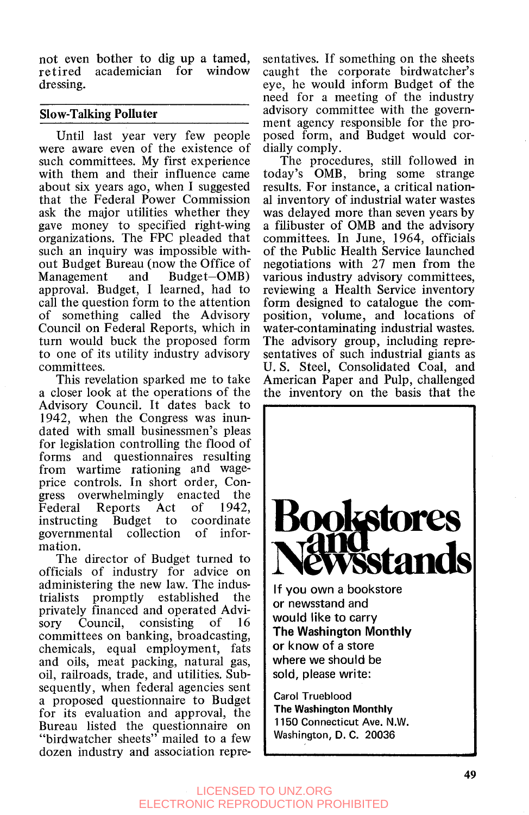not even bother to dig up a tamed, re tired academician for window dressing.

#### **Slow-Talking Polluter**

Until last year very few people were aware even of the existence of such committees. My first experience with them and their influence came about six years ago, when I suggested that the Federal Power Commission ask the major utilities whether they gave money to specified right-wing organizations. The FPC pleaded that such an inquiry was impossible without Budget Bureau (now the Office of<br>Management and Budget-OMB)  $Budeet-OMB$ approval. Budget, I learned, had to call the question form to the attention of something called the Advisory Council on Federal Reports, which in turn would buck the proposed form to one of its utility industry advisory committees.

This revelation sparked me to take a closer look at the operations of the Advisory Council. It dates back to 1942, when the Congress was inundated with small businessmen's pleas for legislation controlling the flood of forms and questionnaires resulting from wartime rationing and wageprice controls. In short order, Congress overwhelmingly enacted the<br>Federal Reports Act of 1942. Federal Reports Act of 1942, instructing Budget to coordinate governmental collection mation.

The director of Budget turned to officials of industry for advice on administering the new law. The industrialists promptly established the privately financed and operated Advisory Council, consisting of 16 committees on banking, broadcasting, chemicals, equal employment, fats and oils, meat packing, natural gas, oil, railroads, trade, and utilities. Subsequently, when federal agencies sent a proposed questionnaire to Budget for its evaluation and approval, the Bureau listed the questionnaire on "birdwatcher sheets" mailed to a few dozen industry and association representatives. If something on the sheets caught the corporate birdwatcher's eye, he would inform Budget of the need for a meeting of the industry advisory committee with the government agency responsible for the proposed form, and Budget would cordially comply.

The procedures, still followed in today's OMB, bring some strange results. For instance, a critical national inventory of industrial water wastes was delayed more than seven years by a filibuster of OMB and the advisory committees. In June, 1964, officials of the Public Health Service launched negotiations with 27 men from the various industry advisory committees, reviewing a Health Service inventory form designed to catalogue the composition, volume, and locations of water-contaminating industrial wastes. The advisory group, including representatives of such industrial giants as U. **S.** Steel, Consolidated Coal, and American Paper and Pulp, challenged the inventory on the basis that the



Washington, D. C. 20036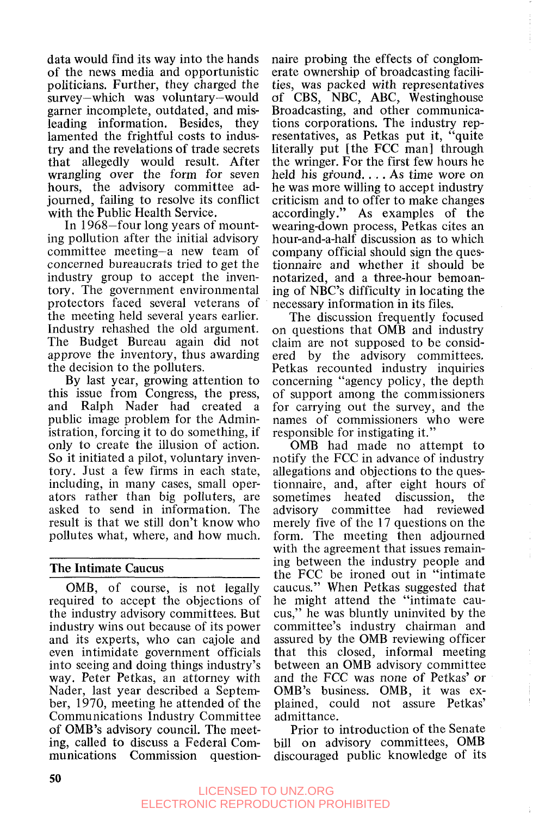data would find its way into the hands of the news media and opportunistic politicians. Further, they charged the survey-which was voluntary-would garner incomplete, outdated, and misleading information. Besides, they lamented the frightful costs to industry and the revelations of trade secrets that allegedly would result. After wrangling over the form for seven hours, the advisory committee adjourned, failing to resolve its conflict with the Public Health Service.

In 1968-four long years of mounting pollution after the initial advisory committee meeting-a new team of concerned bureaucrats tried to get the industry group to accept the inventory. The government environmental protectors faced several veterans of the meeting held several years earlier. Industry rehashed the old argument. The Budget Bureau again did not approve the inventory, thus awarding the decision to the polluters.

By last year, growing attention to this issue from Congress, the press, and Ralph Nader had created a public image problem for the Administration, forcing it to do something, if only to create the illusion of action. So it initiated a pilot, voluntary inventory. Just a few firms in each state, including, in many cases, small operators rather than big polluters, are asked to send in information. The result is that we still don't know who pollutes what, where, and how much.

#### **The Intimate Caucus**

OMB, of course, is not legally required to accept the objections of the industry advisory committees. But industry wins out because of its power and its experts, who can cajole and even intimidate government officials into seeing and doing things industry's way. Peter Petkas, an attorney with Nader, last year described a September, 1970, meeting he attended of the Communications Industry Committee of OMB's advisory council. The meeting, called to discuss a Federal Communications Commission question-

naire probing the effects of conglomerate ownership of broadcasting facilities, was packed with representatives of CBS, NBC, ABC, Westinghouse Broadcasting, and other communications corporations. The industry representatives, as Petkas put it, "quite literally put [the FCC man] through the wringer. For the first few hours he held his ground.... As time wore on he was more willing to accept industry criticism and to offer to make changes accordingly." As examples of the wearing-down process, Petkas cites an hour-and-a-half discussion as to which company official should sign the questionnaire and whether it should be notarized, and a three-hour bemoaning of NBC's difficulty in locating the necessary information in its files.

The discussion frequently focused on questions that OMB and industry claim are not supposed to be considered by the advisory committees. Petkas recounted industry inquiries concerning "agency policy, the depth of support among the commissioners for carrying out the survey, and the names of commissioners who were responsible for instigating it."

OMB had made no attempt to notify the FCC in advance of industry allegations and objections to the questionnaire, and, after eight hours of sometimes heated discussion, the advisory committee had reviewed merely five of the 17 questions on the form. The meeting then adjourned with the agreement that issues remaining between the industry people and the FCC be ironed out in "intimate caucus." When Petkas suggested that he might attend the "intimate caucus," he was bluntly uninvited by the committee's industry chairman and assured by the OMB reviewing officer that this closed, informal meeting between an OMB advisory committee and the FCC was none of Petkas' or OMB's business. OMB, it was explained, could not assure Petkas' admittance.

Prior to introduction of the Senate bill on advisory committees, OMB discouraged public knowledge of its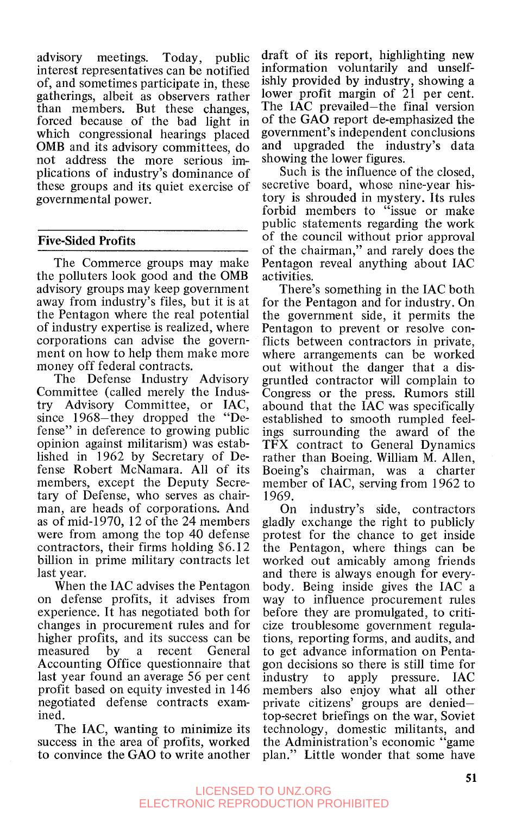advisory meetings. Today, public interest representatives can be notified of, and sometimes participate in, these gatherings, albeit as observers rather than members. But these changes, forced because of the bad light in which congressional hearings placed OMB and its advisory committees, do not address the more serious implications of industry's dominance of these groups and its quiet exercise of governmen tal power.

#### **Five-Sided** Profits

The Commerce groups may make the polluters look good and the OMB advisory groups may keep government away from industry's files, but it is at the Pentagon where the real potential of industry expertise is realized, where corporations can advise the government on how to help them make more money off federal contracts.

The Defense Industry Advisory Committee (called merely the Industry Advisory Committee, or IAC, since 1968-they dropped the "Defense" in deference to growing public opinion against militarism) was established in 1962 by Secretary of Defense Robert McNamara. All of its members, except the Deputy Secretary of Defense, who serves as chairman, are heads of corporations. And as of mid-1 970, 12 of the 24 members were from among the top 40 defense contractors, their firms holding \$6.12 billion in prime military contracts let last year.

When the IAC advises the Pentagon on defense profits, it advises from experience. It has negotiated both for changes in procurement rules and for higher profits, and its success can be measured by a recent General Accounting Office questionnaire that last year found an average 56 per cent profit based on equity invested in 146 negotiated defense contracts examined.

The IAC, wanting to minimize its success in the area of profits, worked to convince the GAO to write another

draft of its report, highlighting new information voluntarily and unselfishly provided by industry, showing a lower profit margin of 21 per cent. The IAC prevailed-the final version of the GAO report de-emphasized the government's independent conclusions and upgraded the industry's data showing the lower figures.

Such is the influence of the closed, secretive board, whose nine-year history is shrouded in mystery. Its rules forbid members to "issue or make public statements regarding the work of the council without prior approval of the chairman," and rarely does the Pentagon reveal anything about IAC activities.

There's something in the IAC both for the Pentagon and for industry. On the government side, it permits the Pentagon to prevent or resolve conflicts between contractors in private, where arrangements can be worked out without the danger that a disgruntled contractor will complain to Congress or the press. Rumors still abound that the IAC was specifically established to smooth rumpled feelings surrounding the award of the TFX contract to General Dynamics rather than Boeing. William M. Allen, Boeing's chairman, was a charter member of IAC, serving from 1962 to 1969.

On industry's side, contractors gladly exchange the right to publicly protest for the chance to get inside the Pentagon, where things can be worked out amicably among friends and there is always enough for everybody. Being inside gives the IAC a way to influence procurement rules before they are promulgated, to criticize troublesome government regulations, reporting forms, and audits, and to get advance information on Pentagon decisions so there is still time for industry to apply pressure. IAC members also enjoy what all other private citizens' groups are deniedtop-secret briefings on the war, Soviet technology, domestic militants, and the Administration's economic "game plan." Little wonder that some have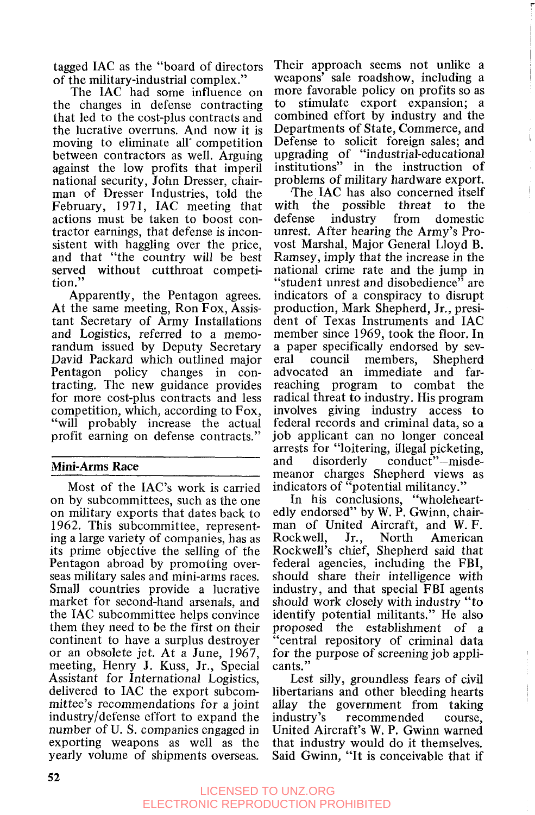tagged IAC as the "board of directors of the military-industrial complex."

The IAC had some influence on the changes in defense contracting that led to the cost-plus contracts and the lucrative overruns. And now it is moving to eliminate all competition between contractors as well. Arguing against the low profits that imperil national security, John Dresser, chairman of Dresser Industries, told the February, 1971, IAC meeting that actions must be taken to boost contractor earnings, that defense is inconsistent with haggling over the price, and that "the country will be best served without cutthroat competition."

Apparently, the Pentagon agrees. At the same meeting, Ron Fox, Assistant Secretary of Army Installations and Logistics, referred to a memorandum issued by Deputy Secretary David Packard which outlined major Pentagon policy changes in contracting. The new guidance provides for more cost-plus contracts and less competition, which, according to Fox, "will probably increase the actual profit earning on defense contracts."

#### **Mini-Arms Race**

Most of the IAC's work is carried on by subcommittees, such as the one on military exports that dates back to 1962. This subcommittee, representing a large variety of companies, has as its prime objective the selling of the Pentagon abroad by promoting overseas military sales and mini-arms races. Small countries provide a lucrative market for second-hand arsenals, and the IAC subcommittee helps convince them they need to be the first on their continent to have a surplus destroyer or an obsolete jet. At a June, 1967, meeting, Henry J. Kuss, Jr., Special Assistant for International Logistics, delivered to IAC the export subcommittee's recommendations for a joint industryldefense effort to expand the number of U. S. companies engaged in exporting weapons as well as the yearly volume of shipments overseas.

Their approach seems not unlike a weapons' sale roadshow, including a more favorable policy on profits so as to stimulate export expansion; a combined effort by industry and the Departments of State, Commerce, and upgrading of "industrial-educational institutions" in the instruction of problems of military hardware export. Defense to solicit foreign sales; and

with the possible threat to the defense industry from domestic unrest. After hearing the Army's Provost Marshal, Major General Lloyd B. Ramsey, imply that the increase in the national crime rate and the jump in "student unrest and disobedience" are indicators of a conspiracy to disrupt production, Mark Shepherd, Jr., president of Texas Instruments and IAC member since 1969, took the floor. In a paper specifically endorsed by several council members, Shepherd advocated an immediate and farreaching program to combat the radical threat to industry. His program involves giving industry access to federal records and criminal data, so a job applicant can no longer conceal arrests for "loitering, illegal picketing,<br>and disorderly conduct"—misdeand disorderly conduct"-misdemeanor charges Shepherd views as indicators of "potential militancy." The IAC has also concerned itself

In his conclusions, "wholeheartedly endorsed" by **W.** P. Gwinn, chairman of United Aircraft, and W. F. Rockwell, Jr., North American Rockwell's chief, Shepherd said that federal agencies, including the FBI, should share their intelligence with industry, and that special FBI agents should work closely with industry "to identify potential militants." He also proposed the establishment of a "central repository of criminal data for the purpose of screening job applicants. "

Lest silly, groundless fears of civil libertarians and other bleeding hearts allay the government from taking industry's recommended course, United Aircraft's **W.** P. Gwinn warned that industry would do it themselves. Said Gwinn, "It is conceivable that if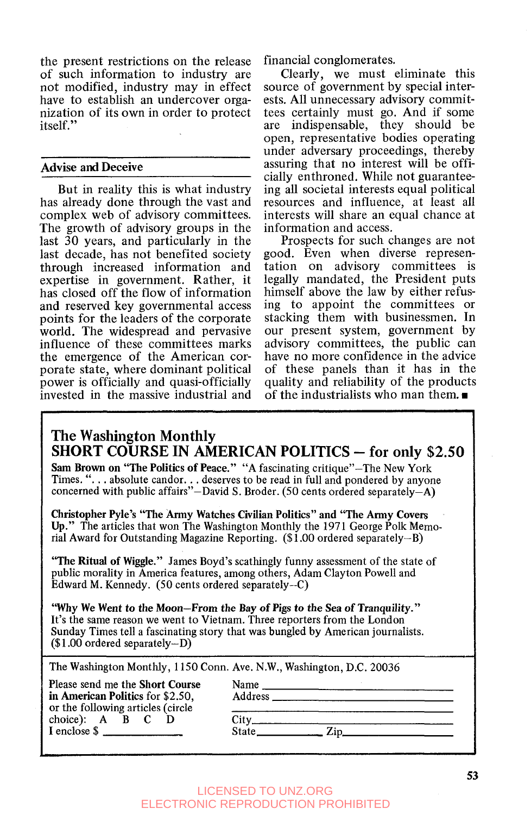the present restrictions on the release of such information to industry are not modified, industry may in effect have to establish an undercover organization of its own in order to protect itself. ''

#### **Advise and Deceive**

But in reality this is what industry has already done through the vast and complex web of advisory committees. The growth of advisory groups in the last **30** years, and particularly in the last decade, has not benefited society through increased information and expertise in government. Rather, it has closed off the flow of information and reserved key governmental access points for the leaders of the corporate world. The widespread and pervasive influence of these committees marks the emergence of the American corporate state, where dominant political power is officially and quasi-officially invested in the massive industrial and financial conglomerates.

Clearly, we must eliminate this source of government by special interests. All unnecessary advisory committees certainly must go. And if some are indispensable, they should be open, representative bodies operating under adversary proceedings, thereby assuring that no interest will be officially enthroned. While not guaranteeing all societal interests equal political resources and influence, at least all interests will share an equal chance at information and access.

Prospects for such changes are not good. Even when diverse representation on advisory committees is legally mandated, the President puts himself above the law by either refusing to appoint the committees or stacking them with businessmen. In our present system, government by advisory committees, the public can have no more confidence in the advice of these panels than it has in the quality and reliability of the products of the industrialists who man them.  $\blacksquare$ 

#### **The Washington Monthly SHORT COURSE IN AMERICAN POLITICS** - **for only \$2.50**

**Sam Brown on "The Politics of Peace."** "A fascinating critique"-The New York Times. ". . . absolute candor. . . deserves to be read in full and pondered by anyone concerned with public affairs"-David S. Broder. (50 cents ordered separately-A)

**Christopher Pyle's "The Army Watches Civilian Politics" and "The Army Covers Up."** The articles that won The Washington Monthly the 1971 George Polk Memorial Award for Outstanding Magazine Reporting. (\$1 .OO ordered separately-B)

**"The Ritual of Wiggle."** James Boyd's scathingly funny assessment of the state of public morality in America features, among others, Adam Clayton Powell and Edward M. Kennedy. (50 cents ordered separately-C)

**"Why We Went to the Moon-From the Bay** *of* **Pigs to the Sea of Tranquility."**  It's the same reason we went to Vietnam. Three reporters from the London Sunday Times tell a fascinating story that was bungled by American journalists.  $($1.00$  ordered separately-D)

The Washington Monthly, 1150 Conn. Ave. N.W., Washington, D.C. 20036

Please send me the **Short Course in American Politics** for \$2.50, or the following articles (circle choice): A **B C D** I enclose \$

| Name          |      |  |
|---------------|------|--|
| Address _____ |      |  |
|               |      |  |
| City_         | Zip. |  |